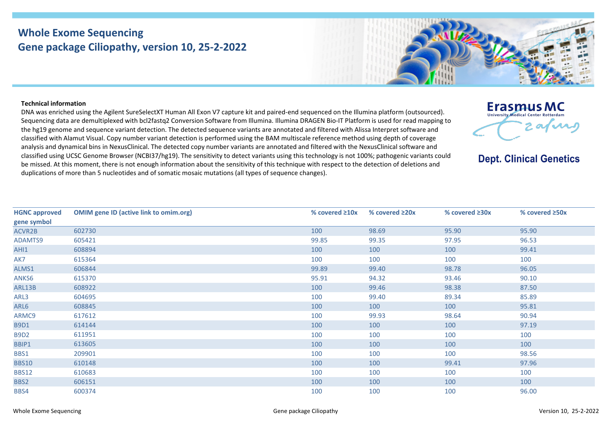## **Whole Exome Sequencing Gene package Ciliopathy, version 10, 25-2-2022**



## **Technical information**

DNA was enriched using the Agilent SureSelectXT Human All Exon V7 capture kit and paired-end sequenced on the Illumina platform (outsourced). Sequencing data are demultiplexed with bcl2fastq2 Conversion Software from Illumina. Illumina DRAGEN Bio-IT Platform is used for read mapping to the hg19 genome and sequence variant detection. The detected sequence variants are annotated and filtered with Alissa Interpret software and classified with Alamut Visual. Copy number variant detection is performed using the BAM multiscale reference method using depth of coverage analysis and dynamical bins in NexusClinical. The detected copy number variants are annotated and filtered with the NexusClinical software and classified using UCSC Genome Browser (NCBI37/hg19). The sensitivity to detect variants using this technology is not 100%; pathogenic variants could be missed. At this moment, there is not enough information about the sensitivity of this technique with respect to the detection of deletions and duplications of more than 5 nucleotides and of somatic mosaic mutations (all types of sequence changes).



**Dept. Clinical Genetics** 

| <b>HGNC approved</b> | <b>OMIM gene ID (active link to omim.org)</b> | % covered $\geq 10x$ | % covered $\geq 20x$ | % covered $\geq 30x$ | % covered $\geq$ 50x |
|----------------------|-----------------------------------------------|----------------------|----------------------|----------------------|----------------------|
| gene symbol          |                                               |                      |                      |                      |                      |
| ACVR2B               | 602730                                        | 100                  | 98.69                | 95.90                | 95.90                |
| ADAMTS9              | 605421                                        | 99.85                | 99.35                | 97.95                | 96.53                |
| AHI1                 | 608894                                        | 100                  | 100                  | 100                  | 99.41                |
| AK7                  | 615364                                        | 100                  | 100                  | 100                  | 100                  |
| ALMS1                | 606844                                        | 99.89                | 99.40                | 98.78                | 96.05                |
| ANKS6                | 615370                                        | 95.91                | 94.32                | 93.46                | 90.10                |
| ARL13B               | 608922                                        | 100                  | 99.46                | 98.38                | 87.50                |
| ARL3                 | 604695                                        | 100                  | 99.40                | 89.34                | 85.89                |
| ARL6                 | 608845                                        | 100                  | 100                  | 100                  | 95.81                |
| ARMC9                | 617612                                        | 100                  | 99.93                | 98.64                | 90.94                |
| <b>B9D1</b>          | 614144                                        | 100                  | 100                  | 100                  | 97.19                |
| <b>B9D2</b>          | 611951                                        | 100                  | 100                  | 100                  | 100                  |
| BBIP1                | 613605                                        | 100                  | 100                  | 100                  | 100                  |
| BBS1                 | 209901                                        | 100                  | 100                  | 100                  | 98.56                |
| <b>BBS10</b>         | 610148                                        | 100                  | 100                  | 99.41                | 97.96                |
| <b>BBS12</b>         | 610683                                        | 100                  | 100                  | 100                  | 100                  |
| BBS2                 | 606151                                        | 100                  | 100                  | 100                  | 100                  |
| BBS4                 | 600374                                        | 100                  | 100                  | 100                  | 96.00                |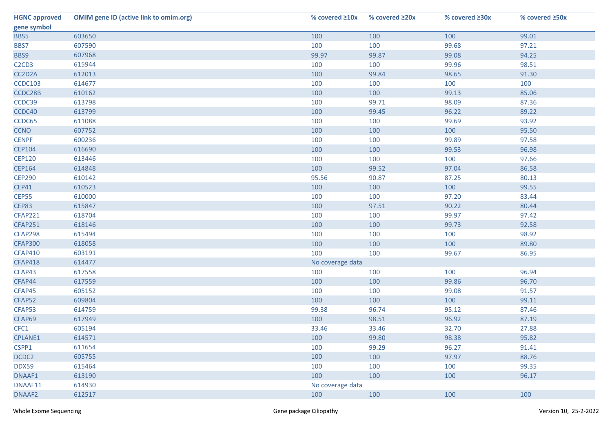| <b>HGNC approved</b>                       | <b>OMIM gene ID (active link to omim.org)</b> | % covered $\geq 10x$ | % covered ≥20x | % covered ≥30x | % covered ≥50x |
|--------------------------------------------|-----------------------------------------------|----------------------|----------------|----------------|----------------|
| gene symbol                                |                                               |                      |                |                |                |
| BBS5                                       | 603650                                        | 100                  | 100            | 100            | 99.01          |
| BBS7                                       | 607590                                        | 100                  | 100            | 99.68          | 97.21          |
| BBS9                                       | 607968                                        | 99.97                | 99.87          | 99.08          | 94.25          |
| C <sub>2</sub> C <sub>D</sub> <sub>3</sub> | 615944                                        | 100                  | 100            | 99.96          | 98.51          |
| CC2D2A                                     | 612013                                        | 100                  | 99.84          | 98.65          | 91.30          |
| <b>CCDC103</b>                             | 614677                                        | 100                  | 100            | 100            | 100            |
| CCDC28B                                    | 610162                                        | 100                  | 100            | 99.13          | 85.06          |
| CCDC39                                     | 613798                                        | 100                  | 99.71          | 98.09          | 87.36          |
| CCDC40                                     | 613799                                        | 100                  | 99.45          | 96.22          | 89.22          |
| CCDC65                                     | 611088                                        | 100                  | 100            | 99.69          | 93.92          |
| <b>CCNO</b>                                | 607752                                        | 100                  | 100            | 100            | 95.50          |
| <b>CENPF</b>                               | 600236                                        | 100                  | 100            | 99.89          | 97.58          |
| <b>CEP104</b>                              | 616690                                        | 100                  | 100            | 99.53          | 96.98          |
| <b>CEP120</b>                              | 613446                                        | 100                  | 100            | 100            | 97.66          |
| <b>CEP164</b>                              | 614848                                        | 100                  | 99.52          | 97.04          | 86.58          |
| <b>CEP290</b>                              | 610142                                        | 95.56                | 90.87          | 87.25          | 80.13          |
| <b>CEP41</b>                               | 610523                                        | 100                  | 100            | 100            | 99.55          |
| CEP55                                      | 610000                                        | 100                  | 100            | 97.20          | 83.44          |
| CEP83                                      | 615847                                        | 100                  | 97.51          | 90.22          | 80.44          |
| <b>CFAP221</b>                             | 618704                                        | 100                  | 100            | 99.97          | 97.42          |
| <b>CFAP251</b>                             | 618146                                        | 100                  | 100            | 99.73          | 92.58          |
| CFAP298                                    | 615494                                        | 100                  | 100            | 100            | 98.92          |
| <b>CFAP300</b>                             | 618058                                        | 100                  | 100            | 100            | 89.80          |
| <b>CFAP410</b>                             | 603191                                        | 100                  | 100            | 99.67          | 86.95          |
| <b>CFAP418</b>                             | 614477                                        | No coverage data     |                |                |                |
| CFAP43                                     | 617558                                        | 100                  | 100            | 100            | 96.94          |
| CFAP44                                     | 617559                                        | 100                  | 100            | 99.86          | 96.70          |
| CFAP45                                     | 605152                                        | 100                  | 100            | 99.08          | 91.57          |
| CFAP52                                     | 609804                                        | 100                  | 100            | 100            | 99.11          |
| CFAP53                                     | 614759                                        | 99.38                | 96.74          | 95.12          | 87.46          |
| CFAP69                                     | 617949                                        | 100                  | 98.51          | 96.92          | 87.19          |
| CFC1                                       | 605194                                        | 33.46                | 33.46          | 32.70          | 27.88          |
| CPLANE1                                    | 614571                                        | 100                  | 99.80          | 98.38          | 95.82          |
| CSPP1                                      | 611654                                        | 100                  | 99.29          | 96.27          | 91.41          |
| DCDC2                                      | 605755                                        | 100                  | 100            | 97.97          | 88.76          |
| DDX59                                      | 615464                                        | 100                  | 100            | 100            | 99.35          |
| DNAAF1                                     | 613190                                        | 100                  | 100            | 100            | 96.17          |
| DNAAF11                                    | 614930                                        | No coverage data     |                |                |                |
| DNAAF2                                     | 612517                                        | 100                  | 100            | 100            | 100            |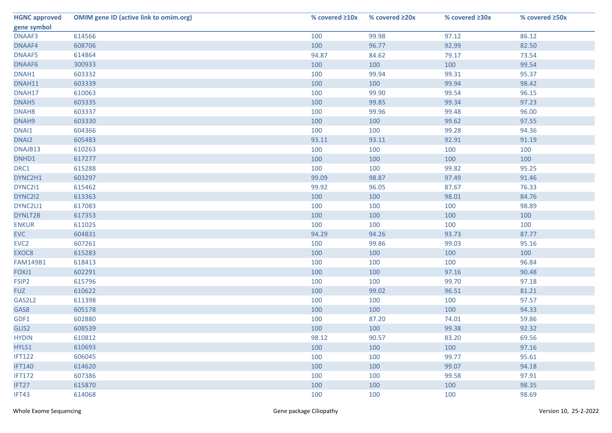| <b>HGNC approved</b> | <b>OMIM gene ID (active link to omim.org)</b> | % covered $\geq 10x$ | % covered $\geq 20x$ | % covered ≥30x | % covered ≥50x |
|----------------------|-----------------------------------------------|----------------------|----------------------|----------------|----------------|
| gene symbol          |                                               |                      |                      |                |                |
| DNAAF3               | 614566                                        | 100                  | 99.98                | 97.12          | 86.12          |
| DNAAF4               | 608706                                        | 100                  | 96.77                | 92.99          | 82.50          |
| DNAAF5               | 614864                                        | 94.87                | 84.62                | 79.17          | 73.54          |
| DNAAF6               | 300933                                        | 100                  | 100                  | 100            | 99.54          |
| DNAH1                | 603332                                        | 100                  | 99.94                | 99.31          | 95.37          |
| DNAH11               | 603339                                        | 100                  | 100                  | 99.94          | 98.42          |
| DNAH17               | 610063                                        | 100                  | 99.90                | 99.54          | 96.15          |
| DNAH5                | 603335                                        | 100                  | 99.85                | 99.34          | 97.23          |
| DNAH <sub>8</sub>    | 603337                                        | 100                  | 99.96                | 99.48          | 96.00          |
| DNAH9                | 603330                                        | 100                  | 100                  | 99.62          | 97.55          |
| DNAI1                | 604366                                        | 100                  | 100                  | 99.28          | 94.36          |
| DNAI2                | 605483                                        | 93.11                | 93.11                | 92.91          | 91.19          |
| DNAJB13              | 610263                                        | 100                  | 100                  | 100            | 100            |
| DNHD1                | 617277                                        | 100                  | 100                  | 100            | 100            |
| DRC1                 | 615288                                        | 100                  | 100                  | 99.82          | 95.25          |
| DYNC2H1              | 603297                                        | 99.09                | 98.87                | 97.49          | 91.46          |
| DYNC211              | 615462                                        | 99.92                | 96.05                | 87.67          | 76.33          |
| DYNC2I2              | 613363                                        | 100                  | 100                  | 98.01          | 84.76          |
| DYNC2LI1             | 617083                                        | 100                  | 100                  | 100            | 98.89          |
| DYNLT2B              | 617353                                        | 100                  | 100                  | 100            | 100            |
| <b>ENKUR</b>         | 611025                                        | 100                  | 100                  | 100            | 100            |
| <b>EVC</b>           | 604831                                        | 94.29                | 94.26                | 93.73          | 87.77          |
| EVC <sub>2</sub>     | 607261                                        | 100                  | 99.86                | 99.03          | 95.16          |
| EXOC8                | 615283                                        | 100                  | 100                  | 100            | 100            |
| <b>FAM149B1</b>      | 618413                                        | 100                  | 100                  | 100            | 96.84          |
| FOXJ1                | 602291                                        | 100                  | 100                  | 97.16          | 90.48          |
| FSIP <sub>2</sub>    | 615796                                        | 100                  | 100                  | 99.70          | 97.18          |
| <b>FUZ</b>           | 610622                                        | 100                  | 99.02                | 96.51          | 81.21          |
| GAS2L2               | 611398                                        | 100                  | 100                  | 100            | 97.57          |
| GAS8                 | 605178                                        | 100                  | 100                  | 100            | 94.33          |
| GDF1                 | 602880                                        | 100                  | 87.20                | 74.01          | 59.86          |
| GLIS2                | 608539                                        | 100                  | 100                  | 99.38          | 92.32          |
| <b>HYDIN</b>         | 610812                                        | 98.12                | 90.57                | 83.20          | 69.56          |
| HYLS1                | 610693                                        | 100                  | 100                  | 100            | 97.16          |
| <b>IFT122</b>        | 606045                                        | 100                  | 100                  | 99.77          | 95.61          |
| <b>IFT140</b>        | 614620                                        | 100                  | 100                  | 99.07          | 94.18          |
| <b>IFT172</b>        | 607386                                        | 100                  | 100                  | 99.58          | 97.91          |
| IFT27                | 615870                                        | 100                  | 100                  | 100            | 98.35          |
| IFT43                | 614068                                        | 100                  | 100                  | 100            | 98.69          |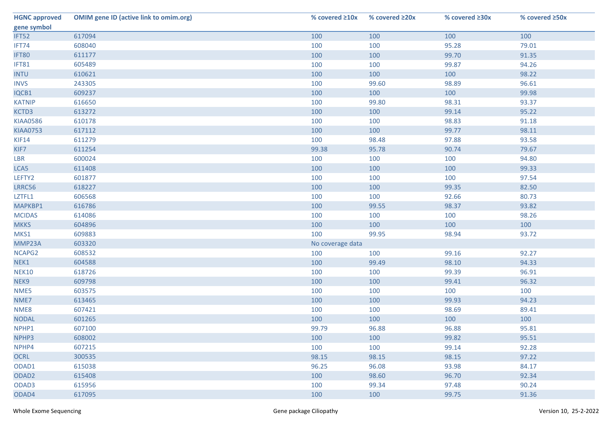| <b>HGNC approved</b> | <b>OMIM gene ID (active link to omim.org)</b> | % covered $\geq 10x$ | % covered $\geq 20x$ | % covered ≥30x | % covered ≥50x |
|----------------------|-----------------------------------------------|----------------------|----------------------|----------------|----------------|
| gene symbol          |                                               |                      |                      |                |                |
| IFT52                | 617094                                        | 100                  | 100                  | 100            | 100            |
| IFT74                | 608040                                        | 100                  | 100                  | 95.28          | 79.01          |
| IFT80                | 611177                                        | 100                  | 100                  | 99.70          | 91.35          |
| IFT81                | 605489                                        | 100                  | 100                  | 99.87          | 94.26          |
| <b>INTU</b>          | 610621                                        | 100                  | 100                  | 100            | 98.22          |
| <b>INVS</b>          | 243305                                        | 100                  | 99.60                | 98.89          | 96.61          |
| IQCB1                | 609237                                        | 100                  | 100                  | 100            | 99.98          |
| <b>KATNIP</b>        | 616650                                        | 100                  | 99.80                | 98.31          | 93.37          |
| KCTD3                | 613272                                        | 100                  | 100                  | 99.14          | 95.22          |
| <b>KIAA0586</b>      | 610178                                        | 100                  | 100                  | 98.83          | 91.18          |
| <b>KIAA0753</b>      | 617112                                        | 100                  | 100                  | 99.77          | 98.11          |
| KIF14                | 611279                                        | 100                  | 98.48                | 97.88          | 93.58          |
| KIF7                 | 611254                                        | 99.38                | 95.78                | 90.74          | 79.67          |
| LBR                  | 600024                                        | 100                  | 100                  | 100            | 94.80          |
| LCA5                 | 611408                                        | 100                  | 100                  | 100            | 99.33          |
| LEFTY2               | 601877                                        | 100                  | 100                  | 100            | 97.54          |
| LRRC56               | 618227                                        | 100                  | 100                  | 99.35          | 82.50          |
| LZTFL1               | 606568                                        | 100                  | 100                  | 92.66          | 80.73          |
| MAPKBP1              | 616786                                        | 100                  | 99.55                | 98.37          | 93.82          |
| <b>MCIDAS</b>        | 614086                                        | 100                  | 100                  | 100            | 98.26          |
| <b>MKKS</b>          | 604896                                        | 100                  | 100                  | 100            | 100            |
| MKS1                 | 609883                                        | 100                  | 99.95                | 98.94          | 93.72          |
| MMP23A               | 603320                                        | No coverage data     |                      |                |                |
| NCAPG2               | 608532                                        | 100                  | 100                  | 99.16          | 92.27          |
| NEK1                 | 604588                                        | 100                  | 99.49                | 98.10          | 94.33          |
| <b>NEK10</b>         | 618726                                        | 100                  | 100                  | 99.39          | 96.91          |
| NEK9                 | 609798                                        | 100                  | 100                  | 99.41          | 96.32          |
| NME5                 | 603575                                        | 100                  | 100                  | 100            | 100            |
| NME7                 | 613465                                        | 100                  | 100                  | 99.93          | 94.23          |
| NME8                 | 607421                                        | 100                  | 100                  | 98.69          | 89.41          |
| <b>NODAL</b>         | 601265                                        | 100                  | 100                  | 100            | 100            |
| NPHP1                | 607100                                        | 99.79                | 96.88                | 96.88          | 95.81          |
| NPHP3                | 608002                                        | 100                  | 100                  | 99.82          | 95.51          |
| NPHP4                | 607215                                        | 100                  | 100                  | 99.14          | 92.28          |
| <b>OCRL</b>          | 300535                                        | 98.15                | 98.15                | 98.15          | 97.22          |
| ODAD1                | 615038                                        | 96.25                | 96.08                | 93.98          | 84.17          |
| ODAD <sub>2</sub>    | 615408                                        | 100                  | 98.60                | 96.70          | 92.34          |
| ODAD3                | 615956                                        | 100                  | 99.34                | 97.48          | 90.24          |
| ODAD4                | 617095                                        | 100                  | 100                  | 99.75          | 91.36          |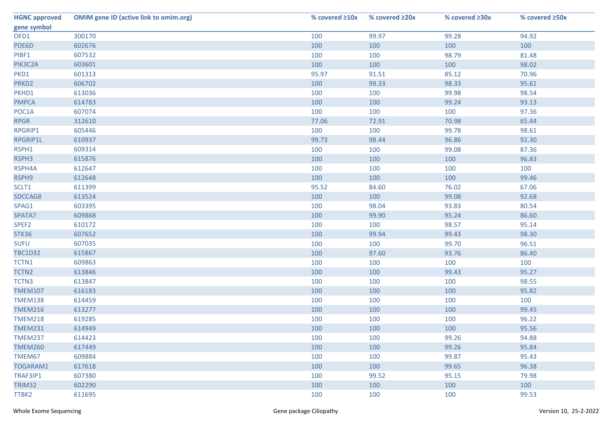| <b>HGNC approved</b> | <b>OMIM gene ID (active link to omim.org)</b> | % covered $\geq 10x$ | % covered ≥20x | % covered $\geq 30x$ | % covered ≥50x |
|----------------------|-----------------------------------------------|----------------------|----------------|----------------------|----------------|
| gene symbol          |                                               |                      |                |                      |                |
| OFD1                 | 300170                                        | 100                  | 99.97          | 99.28                | 94.92          |
| PDE6D                | 602676                                        | 100                  | 100            | 100                  | 100            |
| PIBF1                | 607532                                        | 100                  | 100            | 98.79                | 81.48          |
| PIK3C2A              | 603601                                        | 100                  | 100            | 100                  | 98.02          |
| PKD1                 | 601313                                        | 95.97                | 91.51          | 85.12                | 70.96          |
| PRKD <sub>2</sub>    | 606702                                        | 100                  | 99.33          | 98.33                | 95.61          |
| PKHD1                | 613036                                        | 100                  | 100            | 99.98                | 98.54          |
| <b>PMPCA</b>         | 614783                                        | 100                  | 100            | 99.24                | 93.13          |
| POC1A                | 607074                                        | 100                  | 100            | 100                  | 97.36          |
| <b>RPGR</b>          | 312610                                        | 77.06                | 72.91          | 70.98                | 65.44          |
| RPGRIP1              | 605446                                        | 100                  | 100            | 99.78                | 98.61          |
| RPGRIP1L             | 610937                                        | 99.73                | 98.44          | 96.86                | 92.30          |
| RSPH1                | 609314                                        | 100                  | 100            | 99.08                | 87.36          |
| RSPH3                | 615876                                        | 100                  | 100            | 100                  | 96.83          |
| RSPH4A               | 612647                                        | 100                  | 100            | 100                  | 100            |
| RSPH9                | 612648                                        | 100                  | 100            | 100                  | 99.46          |
| SCLT1                | 611399                                        | 95.52                | 84.60          | 76.02                | 67.06          |
| SDCCAG8              | 613524                                        | 100                  | 100            | 99.08                | 92.68          |
| SPAG1                | 603395                                        | 100                  | 98.04          | 93.83                | 80.54          |
| SPATA7               | 609868                                        | 100                  | 99.90          | 95.24                | 86.60          |
| SPEF <sub>2</sub>    | 610172                                        | 100                  | 100            | 98.57                | 95.14          |
| STK36                | 607652                                        | 100                  | 99.94          | 99.43                | 98.30          |
| <b>SUFU</b>          | 607035                                        | 100                  | 100            | 99.70                | 96.51          |
| <b>TBC1D32</b>       | 615867                                        | 100                  | 97.60          | 93.76                | 86.40          |
| TCTN1                | 609863                                        | 100                  | 100            | 100                  | 100            |
| TCTN2                | 613846                                        | 100                  | 100            | 99.43                | 95.27          |
| TCTN3                | 613847                                        | 100                  | 100            | 100                  | 98.55          |
| <b>TMEM107</b>       | 616183                                        | 100                  | 100            | 100                  | 95.82          |
| <b>TMEM138</b>       | 614459                                        | 100                  | 100            | 100                  | 100            |
| <b>TMEM216</b>       | 613277                                        | 100                  | 100            | 100                  | 99.45          |
| <b>TMEM218</b>       | 619285                                        | 100                  | 100            | 100                  | 96.22          |
| <b>TMEM231</b>       | 614949                                        | 100                  | 100            | 100                  | 95.56          |
| <b>TMEM237</b>       | 614423                                        | 100                  | 100            | 99.26                | 94.88          |
| <b>TMEM260</b>       | 617449                                        | 100                  | 100            | 99.26                | 95.84          |
| TMEM67               | 609884                                        | 100                  | 100            | 99.87                | 95.43          |
| TOGARAM1             | 617618                                        | 100                  | 100            | 99.65                | 96.38          |
| TRAF3IP1             | 607380                                        | 100                  | 99.52          | 95.15                | 79.98          |
| <b>TRIM32</b>        | 602290                                        | 100                  | 100            | 100                  | 100            |
| TTBK2                | 611695                                        | 100                  | 100            | 100                  | 99.53          |